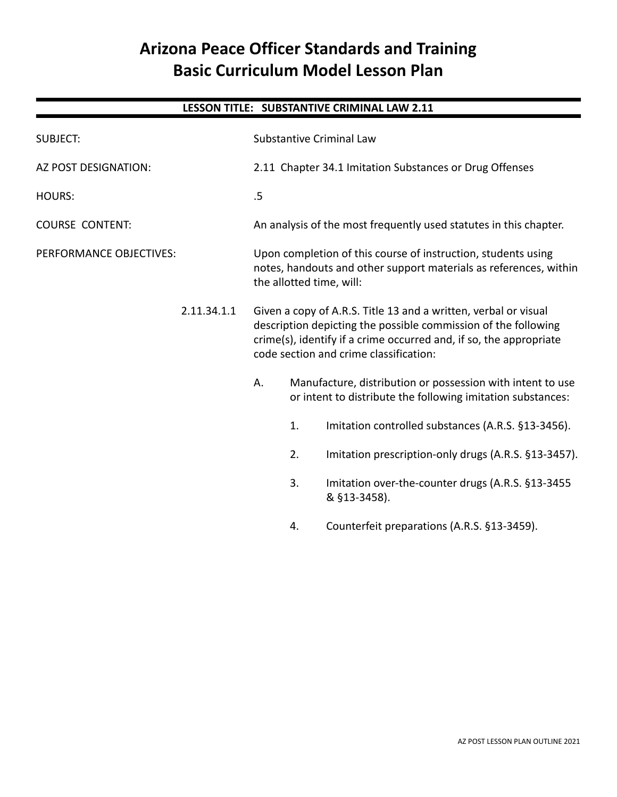# **Arizona Peace Officer Standards and Training Basic Curriculum Model Lesson Plan**

# **LESSON TITLE: SUBSTANTIVE CRIMINAL LAW 2.11**

| <b>SUBJECT:</b>         |             |                                                                                                                                                                                                                                                   |                                                                                                                           | Substantive Criminal Law                                                                                                                                       |
|-------------------------|-------------|---------------------------------------------------------------------------------------------------------------------------------------------------------------------------------------------------------------------------------------------------|---------------------------------------------------------------------------------------------------------------------------|----------------------------------------------------------------------------------------------------------------------------------------------------------------|
| AZ POST DESIGNATION:    |             |                                                                                                                                                                                                                                                   |                                                                                                                           | 2.11 Chapter 34.1 Imitation Substances or Drug Offenses                                                                                                        |
| <b>HOURS:</b>           |             | .5                                                                                                                                                                                                                                                |                                                                                                                           |                                                                                                                                                                |
| <b>COURSE CONTENT:</b>  |             |                                                                                                                                                                                                                                                   |                                                                                                                           | An analysis of the most frequently used statutes in this chapter.                                                                                              |
| PERFORMANCE OBJECTIVES: |             |                                                                                                                                                                                                                                                   |                                                                                                                           | Upon completion of this course of instruction, students using<br>notes, handouts and other support materials as references, within<br>the allotted time, will: |
|                         | 2.11.34.1.1 | Given a copy of A.R.S. Title 13 and a written, verbal or visual<br>description depicting the possible commission of the following<br>crime(s), identify if a crime occurred and, if so, the appropriate<br>code section and crime classification: |                                                                                                                           |                                                                                                                                                                |
|                         |             | А.                                                                                                                                                                                                                                                | Manufacture, distribution or possession with intent to use<br>or intent to distribute the following imitation substances: |                                                                                                                                                                |
|                         |             |                                                                                                                                                                                                                                                   | 1.                                                                                                                        | Imitation controlled substances (A.R.S. §13-3456).                                                                                                             |
|                         |             |                                                                                                                                                                                                                                                   | 2.                                                                                                                        | Imitation prescription-only drugs (A.R.S. §13-3457).                                                                                                           |
|                         |             |                                                                                                                                                                                                                                                   | 3.                                                                                                                        | Imitation over-the-counter drugs (A.R.S. §13-3455<br>& §13-3458).                                                                                              |
|                         |             |                                                                                                                                                                                                                                                   |                                                                                                                           |                                                                                                                                                                |

4. Counterfeit preparations (A.R.S. §13-3459).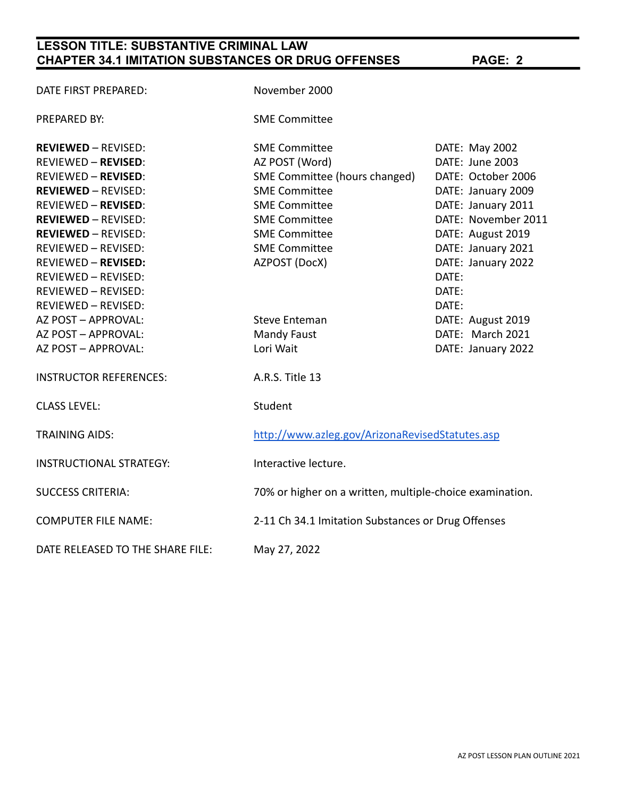# **LESSON TITLE: SUBSTANTIVE CRIMINAL LAW CHAPTER 34.1 IMITATION SUBSTANCES OR DRUG OFFENSES PAGE: 2**

| DATE FIRST PREPARED:             | November 2000                                            |                     |  |
|----------------------------------|----------------------------------------------------------|---------------------|--|
| <b>PREPARED BY:</b>              | <b>SME Committee</b>                                     |                     |  |
| <b>REVIEWED - REVISED:</b>       | <b>SME Committee</b>                                     | DATE: May 2002      |  |
| <b>REVIEWED - REVISED:</b>       | AZ POST (Word)                                           | DATE: June 2003     |  |
| <b>REVIEWED - REVISED:</b>       | SME Committee (hours changed)                            | DATE: October 2006  |  |
| <b>REVIEWED - REVISED:</b>       | <b>SME Committee</b><br>DATE: January 2009               |                     |  |
| <b>REVIEWED - REVISED:</b>       | <b>SME Committee</b>                                     | DATE: January 2011  |  |
| <b>REVIEWED - REVISED:</b>       | <b>SME Committee</b>                                     | DATE: November 2011 |  |
| <b>REVIEWED - REVISED:</b>       | <b>SME Committee</b>                                     | DATE: August 2019   |  |
| <b>REVIEWED - REVISED:</b>       | <b>SME Committee</b>                                     | DATE: January 2021  |  |
| <b>REVIEWED - REVISED:</b>       | AZPOST (DocX)                                            | DATE: January 2022  |  |
| REVIEWED - REVISED:              |                                                          | DATE:               |  |
| <b>REVIEWED - REVISED:</b>       |                                                          | DATE:               |  |
| <b>REVIEWED - REVISED:</b>       |                                                          | DATE:               |  |
| AZ POST - APPROVAL:              | <b>Steve Enteman</b>                                     | DATE: August 2019   |  |
| AZ POST - APPROVAL:              | <b>Mandy Faust</b>                                       | DATE: March 2021    |  |
| AZ POST - APPROVAL:              | Lori Wait                                                | DATE: January 2022  |  |
| <b>INSTRUCTOR REFERENCES:</b>    | A.R.S. Title 13                                          |                     |  |
| <b>CLASS LEVEL:</b>              | Student                                                  |                     |  |
| <b>TRAINING AIDS:</b>            | http://www.azleg.gov/ArizonaRevisedStatutes.asp          |                     |  |
| <b>INSTRUCTIONAL STRATEGY:</b>   | Interactive lecture.                                     |                     |  |
| <b>SUCCESS CRITERIA:</b>         | 70% or higher on a written, multiple-choice examination. |                     |  |
| <b>COMPUTER FILE NAME:</b>       | 2-11 Ch 34.1 Imitation Substances or Drug Offenses       |                     |  |
| DATE RELEASED TO THE SHARE FILE: | May 27, 2022                                             |                     |  |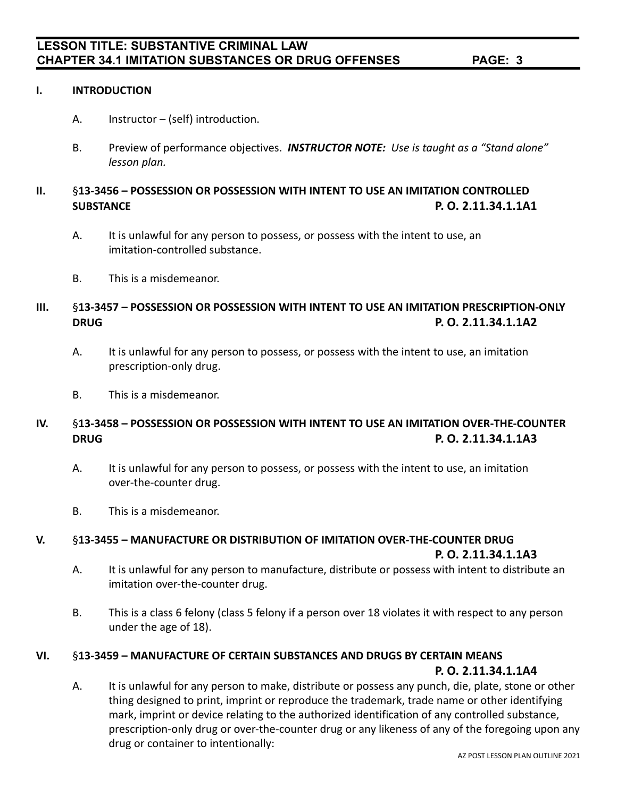## **I. INTRODUCTION**

- A. Instructor (self) introduction.
- B. Preview of performance objectives. *INSTRUCTOR NOTE: Use is taught as a "Stand alone" lesson plan.*

# **II.** §**13-3456 – POSSESSION OR POSSESSION WITH INTENT TO USE AN IMITATION CONTROLLED SUBSTANCE P. O. 2.11.34.1.1A1**

- A. It is unlawful for any person to possess, or possess with the intent to use, an imitation-controlled substance.
- B. This is a misdemeanor.

## **III.** §**13-3457 – POSSESSION OR POSSESSION WITH INTENT TO USE AN IMITATION PRESCRIPTION-ONLY DRUG P. O. 2.11.34.1.1A2**

- A. It is unlawful for any person to possess, or possess with the intent to use, an imitation prescription-only drug.
- B. This is a misdemeanor.

# **IV.** §**13-3458 – POSSESSION OR POSSESSION WITH INTENT TO USE AN IMITATION OVER-THE-COUNTER DRUG P. O. 2.11.34.1.1A3**

- A. It is unlawful for any person to possess, or possess with the intent to use, an imitation over-the-counter drug.
- B. This is a misdemeanor.

## **V.** §**13-3455 – MANUFACTURE OR DISTRIBUTION OF IMITATION OVER-THE-COUNTER DRUG**

### **P. O. 2.11.34.1.1A3**

- A. It is unlawful for any person to manufacture, distribute or possess with intent to distribute an imitation over-the-counter drug.
- B. This is a class 6 felony (class 5 felony if a person over 18 violates it with respect to any person under the age of 18).

### **VI.** §**13-3459 – MANUFACTURE OF CERTAIN SUBSTANCES AND DRUGS BY CERTAIN MEANS**

### **P. O. 2.11.34.1.1A4**

A. It is unlawful for any person to make, distribute or possess any punch, die, plate, stone or other thing designed to print, imprint or reproduce the trademark, trade name or other identifying mark, imprint or device relating to the authorized identification of any controlled substance, prescription-only drug or over-the-counter drug or any likeness of any of the foregoing upon any drug or container to intentionally: